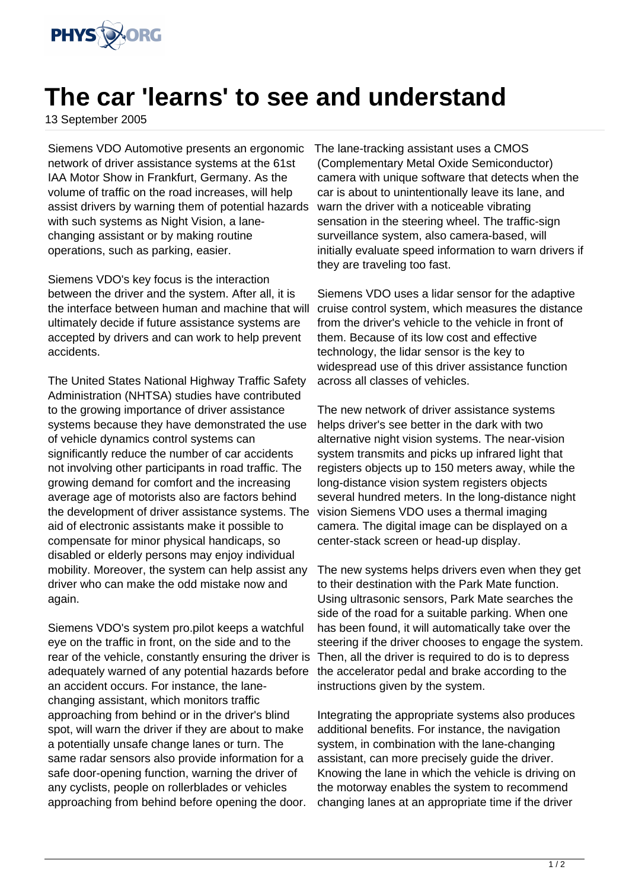

## **The car 'learns' to see and understand**

13 September 2005

Siemens VDO Automotive presents an ergonomic network of driver assistance systems at the 61st IAA Motor Show in Frankfurt, Germany. As the volume of traffic on the road increases, will help assist drivers by warning them of potential hazards with such systems as Night Vision, a lanechanging assistant or by making routine operations, such as parking, easier.

Siemens VDO's key focus is the interaction between the driver and the system. After all, it is the interface between human and machine that will ultimately decide if future assistance systems are accepted by drivers and can work to help prevent accidents.

The United States National Highway Traffic Safety Administration (NHTSA) studies have contributed to the growing importance of driver assistance systems because they have demonstrated the use of vehicle dynamics control systems can significantly reduce the number of car accidents not involving other participants in road traffic. The growing demand for comfort and the increasing average age of motorists also are factors behind the development of driver assistance systems. The aid of electronic assistants make it possible to compensate for minor physical handicaps, so disabled or elderly persons may enjoy individual mobility. Moreover, the system can help assist any driver who can make the odd mistake now and again.

Siemens VDO's system pro.pilot keeps a watchful eye on the traffic in front, on the side and to the rear of the vehicle, constantly ensuring the driver is adequately warned of any potential hazards before an accident occurs. For instance, the lanechanging assistant, which monitors traffic approaching from behind or in the driver's blind spot, will warn the driver if they are about to make a potentially unsafe change lanes or turn. The same radar sensors also provide information for a safe door-opening function, warning the driver of any cyclists, people on rollerblades or vehicles approaching from behind before opening the door.

The lane-tracking assistant uses a CMOS (Complementary Metal Oxide Semiconductor) camera with unique software that detects when the car is about to unintentionally leave its lane, and warn the driver with a noticeable vibrating sensation in the steering wheel. The traffic-sign surveillance system, also camera-based, will initially evaluate speed information to warn drivers if they are traveling too fast.

Siemens VDO uses a lidar sensor for the adaptive cruise control system, which measures the distance from the driver's vehicle to the vehicle in front of them. Because of its low cost and effective technology, the lidar sensor is the key to widespread use of this driver assistance function across all classes of vehicles.

The new network of driver assistance systems helps driver's see better in the dark with two alternative night vision systems. The near-vision system transmits and picks up infrared light that registers objects up to 150 meters away, while the long-distance vision system registers objects several hundred meters. In the long-distance night vision Siemens VDO uses a thermal imaging camera. The digital image can be displayed on a center-stack screen or head-up display.

The new systems helps drivers even when they get to their destination with the Park Mate function. Using ultrasonic sensors, Park Mate searches the side of the road for a suitable parking. When one has been found, it will automatically take over the steering if the driver chooses to engage the system. Then, all the driver is required to do is to depress the accelerator pedal and brake according to the instructions given by the system.

Integrating the appropriate systems also produces additional benefits. For instance, the navigation system, in combination with the lane-changing assistant, can more precisely guide the driver. Knowing the lane in which the vehicle is driving on the motorway enables the system to recommend changing lanes at an appropriate time if the driver